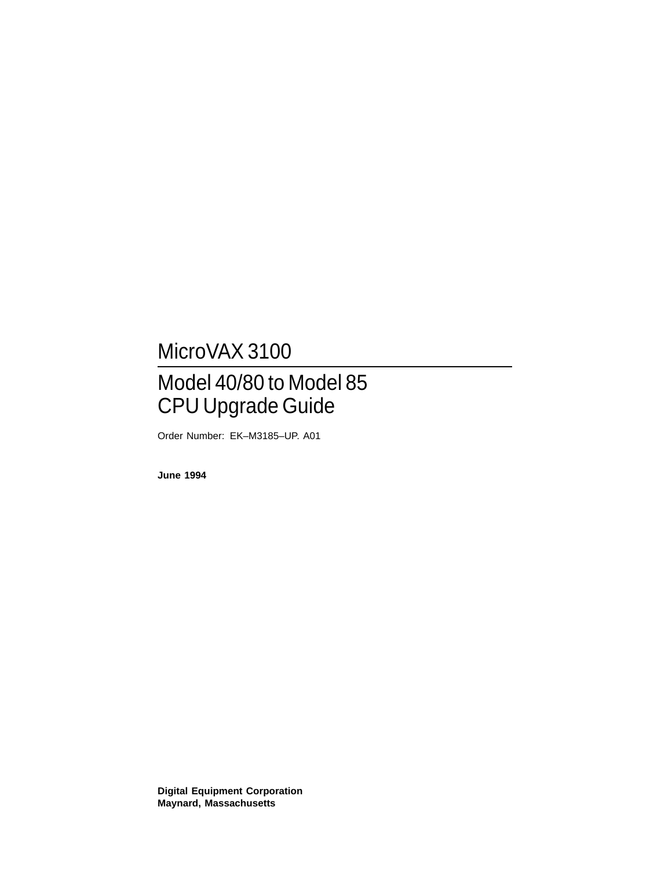# MicroVAX 3100

# Model 40/80 to Model 85 CPU Upgrade Guide

Order Number: EK–M3185–UP. A01

**June 1994**

**Digital Equipment Corporation Maynard, Massachusetts**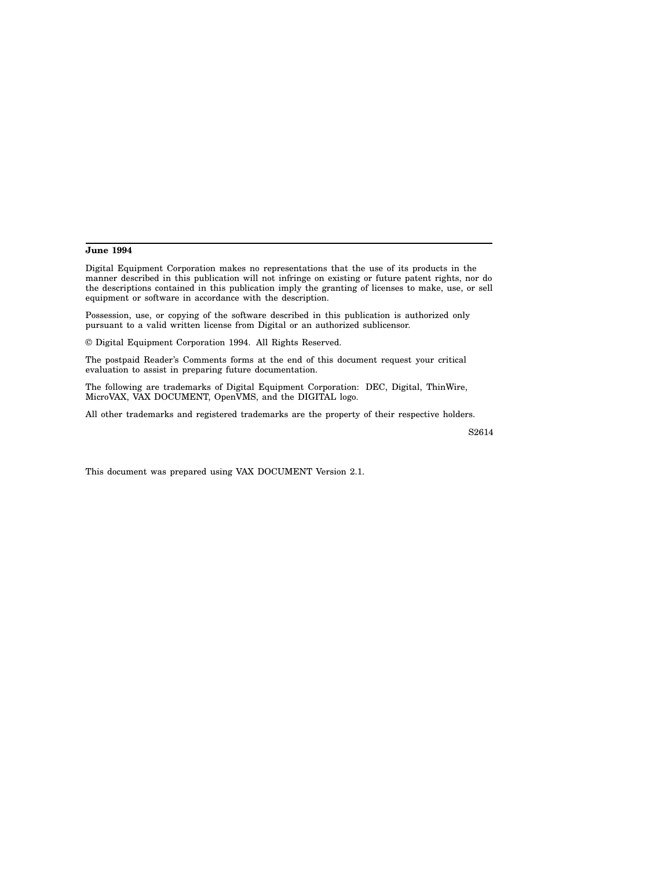#### **June 1994**

Digital Equipment Corporation makes no representations that the use of its products in the manner described in this publication will not infringe on existing or future patent rights, nor do the descriptions contained in this publication imply the granting of licenses to make, use, or sell equipment or software in accordance with the description.

Possession, use, or copying of the software described in this publication is authorized only pursuant to a valid written license from Digital or an authorized sublicensor.

© Digital Equipment Corporation 1994. All Rights Reserved.

The postpaid Reader's Comments forms at the end of this document request your critical evaluation to assist in preparing future documentation.

The following are trademarks of Digital Equipment Corporation: DEC, Digital, ThinWire, MicroVAX, VAX DOCUMENT, OpenVMS, and the DIGITAL logo.

All other trademarks and registered trademarks are the property of their respective holders.

S2614

This document was prepared using VAX DOCUMENT Version 2.1.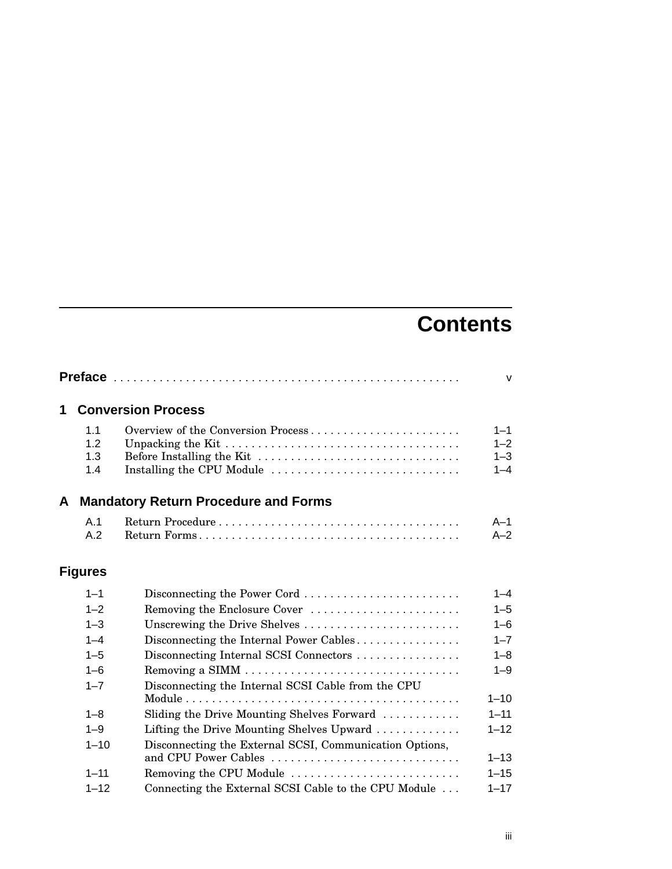# **Contents**

|   |                |                                                                                 | $\mathsf{v}$ |
|---|----------------|---------------------------------------------------------------------------------|--------------|
| 1 |                | <b>Conversion Process</b>                                                       |              |
|   | 1.1            | Overview of the Conversion Process                                              | $1 - 1$      |
|   | 1.2            |                                                                                 | $1 - 2$      |
|   | 1.3            |                                                                                 | $1 - 3$      |
|   | 1.4            | Installing the CPU Module                                                       | $1 - 4$      |
| A |                | <b>Mandatory Return Procedure and Forms</b>                                     |              |
|   | A.1            |                                                                                 | $A-1$        |
|   | A.2            |                                                                                 | $A-2$        |
|   | <b>Figures</b> |                                                                                 |              |
|   | $1 - 1$        | Disconnecting the Power Cord                                                    | $1 - 4$      |
|   | $1 - 2$        | Removing the Enclosure Cover                                                    | $1 - 5$      |
|   | $1 - 3$        | Unscrewing the Drive Shelves                                                    | $1 - 6$      |
|   | $1 - 4$        | Disconnecting the Internal Power Cables                                         | $1 - 7$      |
|   | $1 - 5$        | Disconnecting Internal SCSI Connectors                                          | $1 - 8$      |
|   | $1 - 6$        |                                                                                 | $1 - 9$      |
|   | $1 - 7$        | Disconnecting the Internal SCSI Cable from the CPU                              |              |
|   |                |                                                                                 | $1 - 10$     |
|   | $1 - 8$        | Sliding the Drive Mounting Shelves Forward                                      | $1 - 11$     |
|   | $1 - 9$        | Lifting the Drive Mounting Shelves Upward $\dots \dots \dots$                   | $1 - 12$     |
|   | $1 - 10$       | Disconnecting the External SCSI, Communication Options,<br>and CPU Power Cables | $1 - 13$     |
|   | $1 - 11$       | Removing the CPU Module                                                         | $1 - 15$     |
|   | $1 - 12$       | Connecting the External SCSI Cable to the CPU Module                            | $1 - 17$     |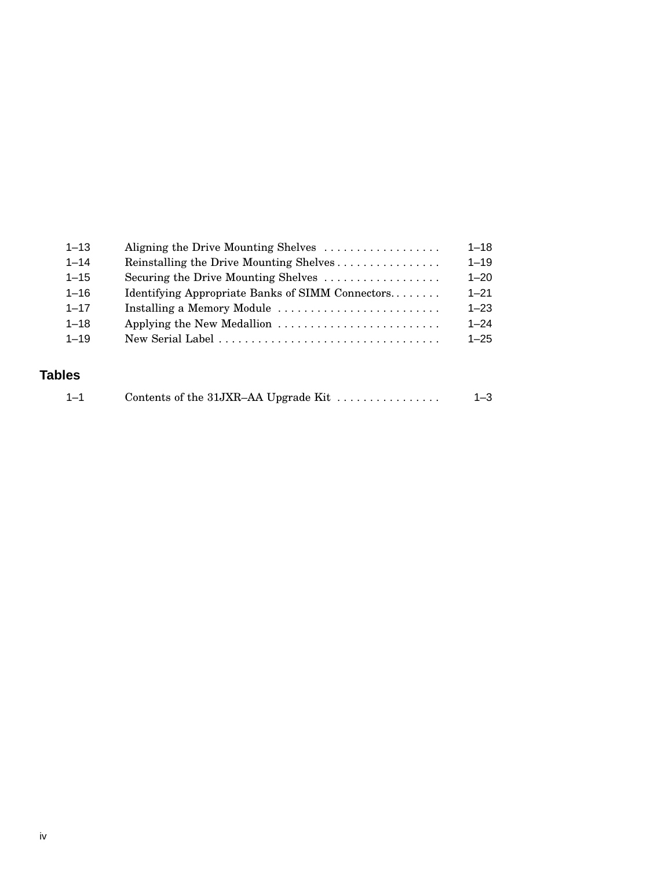| $1 - 13$ | Aligning the Drive Mounting Shelves              | $1 - 18$ |
|----------|--------------------------------------------------|----------|
| $1 - 14$ | Reinstalling the Drive Mounting Shelves          | $1 - 19$ |
| $1 - 15$ | Securing the Drive Mounting Shelves              | $1 - 20$ |
| $1 - 16$ | Identifying Appropriate Banks of SIMM Connectors | $1 - 21$ |
| $1 - 17$ | Installing a Memory Module                       | $1 - 23$ |
| $1 - 18$ | Applying the New Medallion                       | $1 - 24$ |
| $1 - 19$ |                                                  | $1 - 25$ |
|          |                                                  |          |

## **Tables**

| Contents of the 31JXR-AA Upgrade Kit $\dots \dots \dots \dots$<br>$1 - 3$ |
|---------------------------------------------------------------------------|
|                                                                           |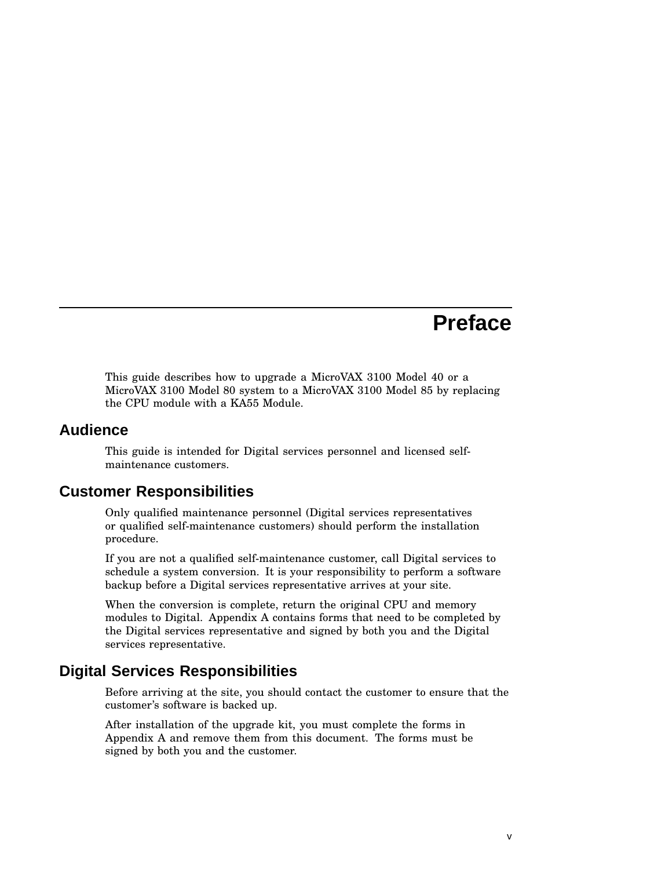# **Preface**

This guide describes how to upgrade a MicroVAX 3100 Model 40 or a MicroVAX 3100 Model 80 system to a MicroVAX 3100 Model 85 by replacing the CPU module with a KA55 Module.

#### **Audience**

This guide is intended for Digital services personnel and licensed selfmaintenance customers.

## **Customer Responsibilities**

Only qualified maintenance personnel (Digital services representatives or qualified self-maintenance customers) should perform the installation procedure.

If you are not a qualified self-maintenance customer, call Digital services to schedule a system conversion. It is your responsibility to perform a software backup before a Digital services representative arrives at your site.

When the conversion is complete, return the original CPU and memory modules to Digital. Appendix A contains forms that need to be completed by the Digital services representative and signed by both you and the Digital services representative.

# **Digital Services Responsibilities**

Before arriving at the site, you should contact the customer to ensure that the customer's software is backed up.

After installation of the upgrade kit, you must complete the forms in Appendix A and remove them from this document. The forms must be signed by both you and the customer.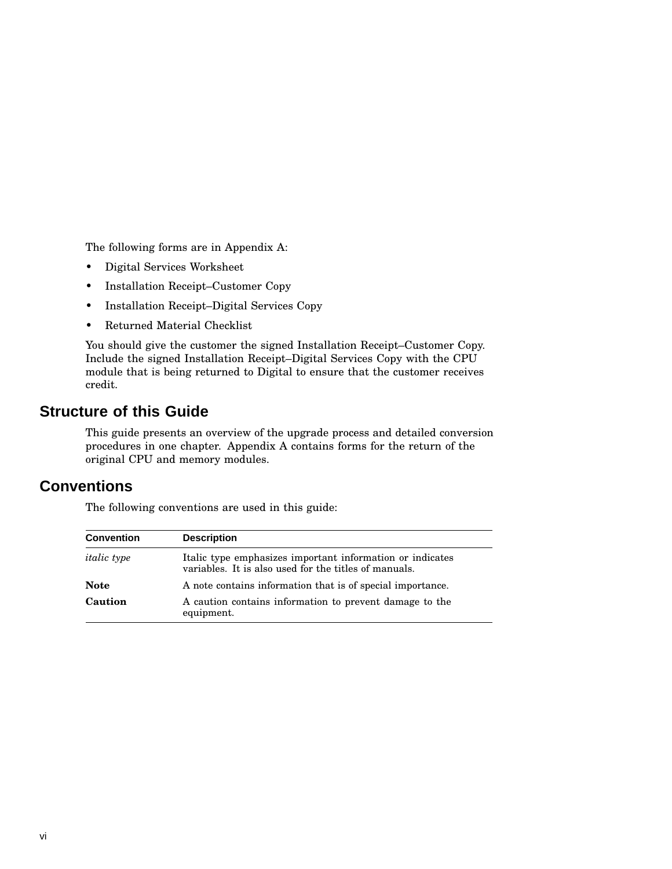The following forms are in Appendix A:

- Digital Services Worksheet
- Installation Receipt–Customer Copy
- Installation Receipt–Digital Services Copy
- Returned Material Checklist

You should give the customer the signed Installation Receipt–Customer Copy. Include the signed Installation Receipt–Digital Services Copy with the CPU module that is being returned to Digital to ensure that the customer receives credit.

## **Structure of this Guide**

This guide presents an overview of the upgrade process and detailed conversion procedures in one chapter. Appendix A contains forms for the return of the original CPU and memory modules.

# **Conventions**

The following conventions are used in this guide:

| <b>Convention</b>  | <b>Description</b>                                                                                                 |  |  |  |
|--------------------|--------------------------------------------------------------------------------------------------------------------|--|--|--|
| <i>italic</i> type | Italic type emphasizes important information or indicates<br>variables. It is also used for the titles of manuals. |  |  |  |
| <b>Note</b>        | A note contains information that is of special importance.                                                         |  |  |  |
| Caution            | A caution contains information to prevent damage to the<br>equipment.                                              |  |  |  |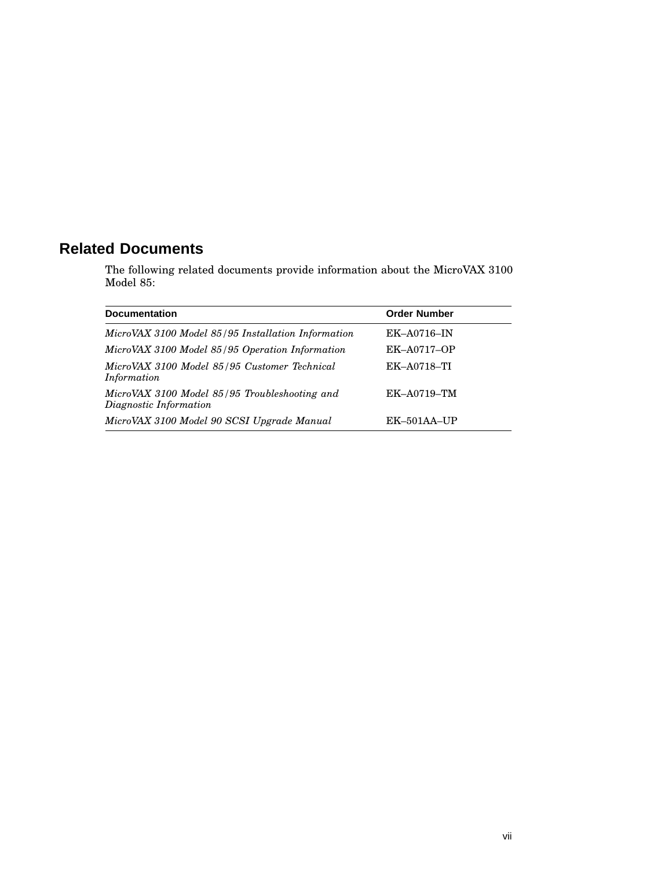# **Related Documents**

The following related documents provide information about the MicroVAX 3100 Model 85:

| <b>Documentation</b>                                                    | <b>Order Number</b> |
|-------------------------------------------------------------------------|---------------------|
| MicroVAX 3100 Model 85/95 Installation Information                      | $EK$ -A0716-IN      |
| MicroVAX 3100 Model 85/95 Operation Information                         | <b>EK-A0717-OP</b>  |
| MicroVAX 3100 Model 85/95 Customer Technical<br>Information             | EK-A0718-TI         |
| MicroVAX 3100 Model 85/95 Troubleshooting and<br>Diagnostic Information | EK-A0719-TM         |
| MicroVAX 3100 Model 90 SCSI Upgrade Manual                              | $EK-501AA-UP$       |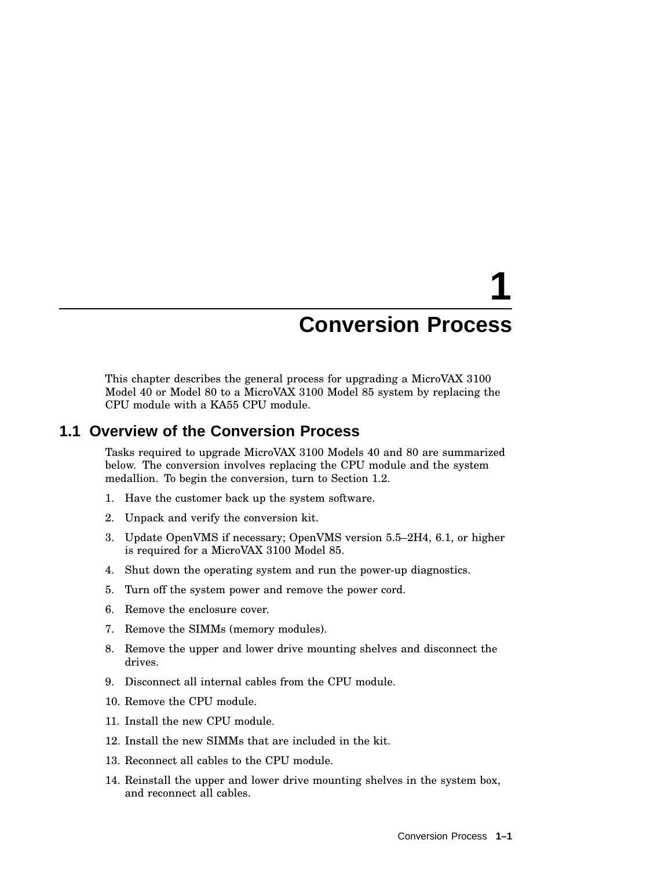# **1**

# **Conversion Process**

This chapter describes the general process for upgrading a MicroVAX 3100 Model 40 or Model 80 to a MicroVAX 3100 Model 85 system by replacing the CPU module with a KA55 CPU module.

#### **1.1 Overview of the Conversion Process**

Tasks required to upgrade MicroVAX 3100 Models 40 and 80 are summarized below. The conversion involves replacing the CPU module and the system medallion. To begin the conversion, turn to Section 1.2.

- 1. Have the customer back up the system software.
- 2. Unpack and verify the conversion kit.
- 3. Update OpenVMS if necessary; OpenVMS version 5.5–2H4, 6.1, or higher is required for a MicroVAX 3100 Model 85.
- 4. Shut down the operating system and run the power-up diagnostics.
- 5. Turn off the system power and remove the power cord.
- 6. Remove the enclosure cover.
- 7. Remove the SIMMs (memory modules).
- 8. Remove the upper and lower drive mounting shelves and disconnect the drives.
- 9. Disconnect all internal cables from the CPU module.
- 10. Remove the CPU module.
- 11. Install the new CPU module.
- 12. Install the new SIMMs that are included in the kit.
- 13. Reconnect all cables to the CPU module.
- 14. Reinstall the upper and lower drive mounting shelves in the system box, and reconnect all cables.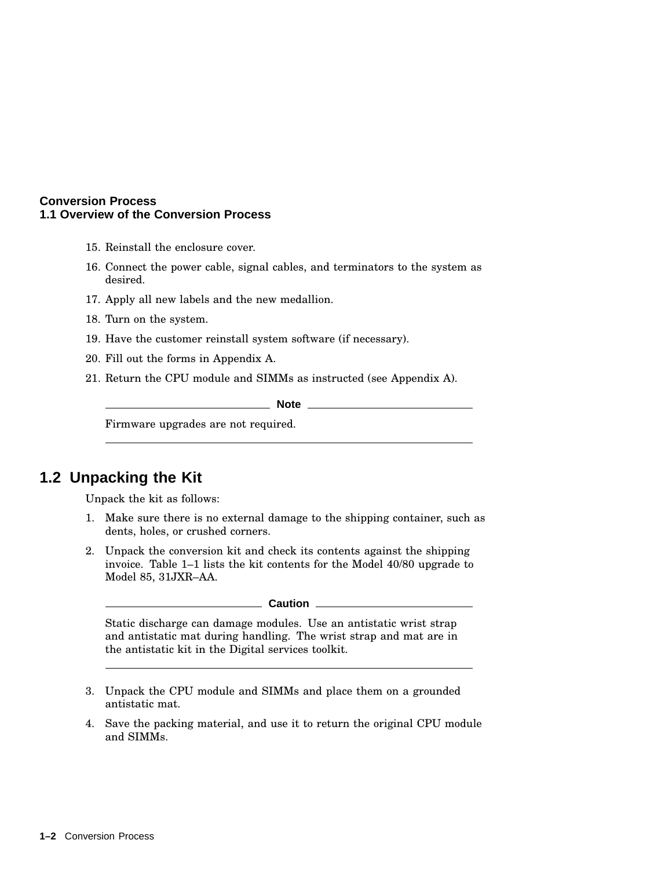#### **Conversion Process 1.1 Overview of the Conversion Process**

- 15. Reinstall the enclosure cover.
- 16. Connect the power cable, signal cables, and terminators to the system as desired.
- 17. Apply all new labels and the new medallion.
- 18. Turn on the system.
- 19. Have the customer reinstall system software (if necessary).
- 20. Fill out the forms in Appendix A.
- 21. Return the CPU module and SIMMs as instructed (see Appendix A).

**Note** \_\_\_\_\_\_\_\_\_\_\_\_

Firmware upgrades are not required.

## **1.2 Unpacking the Kit**

Unpack the kit as follows:

- 1. Make sure there is no external damage to the shipping container, such as dents, holes, or crushed corners.
- 2. Unpack the conversion kit and check its contents against the shipping invoice. Table 1–1 lists the kit contents for the Model 40/80 upgrade to Model 85, 31JXR–AA.

**Caution** <u>Letter</u>

Static discharge can damage modules. Use an antistatic wrist strap and antistatic mat during handling. The wrist strap and mat are in the antistatic kit in the Digital services toolkit.

- 3. Unpack the CPU module and SIMMs and place them on a grounded antistatic mat.
- 4. Save the packing material, and use it to return the original CPU module and SIMMs.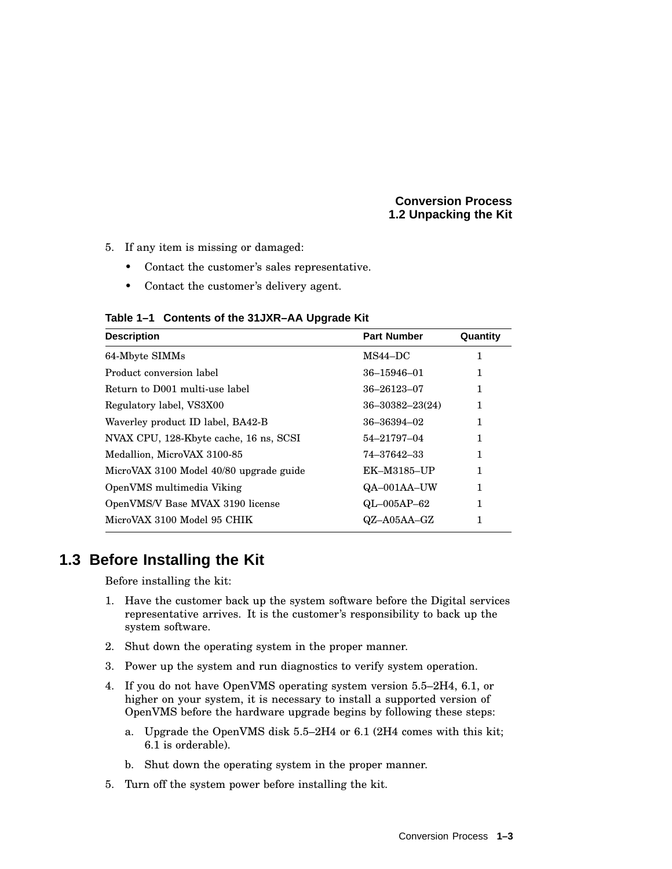#### **Conversion Process 1.2 Unpacking the Kit**

- 5. If any item is missing or damaged:
	- Contact the customer's sales representative.
	- Contact the customer's delivery agent.

**Table 1–1 Contents of the 31JXR–AA Upgrade Kit**

| <b>Description</b>                      | <b>Part Number</b>    | Quantity |
|-----------------------------------------|-----------------------|----------|
| 64-Mbyte SIMMs                          | $MS44-DC$             | 1        |
| Product conversion label                | $36 - 15946 - 01$     | 1        |
| Return to D001 multi-use label          | 36-26123-07           | 1        |
| Regulatory label, VS3X00                | $36 - 30382 - 23(24)$ | 1        |
| Waverley product ID label, BA42-B       | 36-36394-02           | 1        |
| NVAX CPU, 128-Kbyte cache, 16 ns, SCSI  | 54-21797-04           |          |
| Medallion, MicroVAX 3100-85             | 74–37642–33           | 1        |
| MicroVAX 3100 Model 40/80 upgrade guide | EK-M3185-UP           | 1        |
| OpenVMS multimedia Viking               | QA-001AA-UW           | 1        |
| OpenVMS/V Base MVAX 3190 license        | $QL-005AP-62$         | 1        |
| MicroVAX 3100 Model 95 CHIK             | QZ-A05AA-GZ           | 1        |

# **1.3 Before Installing the Kit**

Before installing the kit:

- 1. Have the customer back up the system software before the Digital services representative arrives. It is the customer's responsibility to back up the system software.
- 2. Shut down the operating system in the proper manner.
- 3. Power up the system and run diagnostics to verify system operation.
- 4. If you do not have OpenVMS operating system version 5.5–2H4, 6.1, or higher on your system, it is necessary to install a supported version of OpenVMS before the hardware upgrade begins by following these steps:
	- a. Upgrade the OpenVMS disk 5.5–2H4 or 6.1 (2H4 comes with this kit; 6.1 is orderable).
	- b. Shut down the operating system in the proper manner.
- 5. Turn off the system power before installing the kit.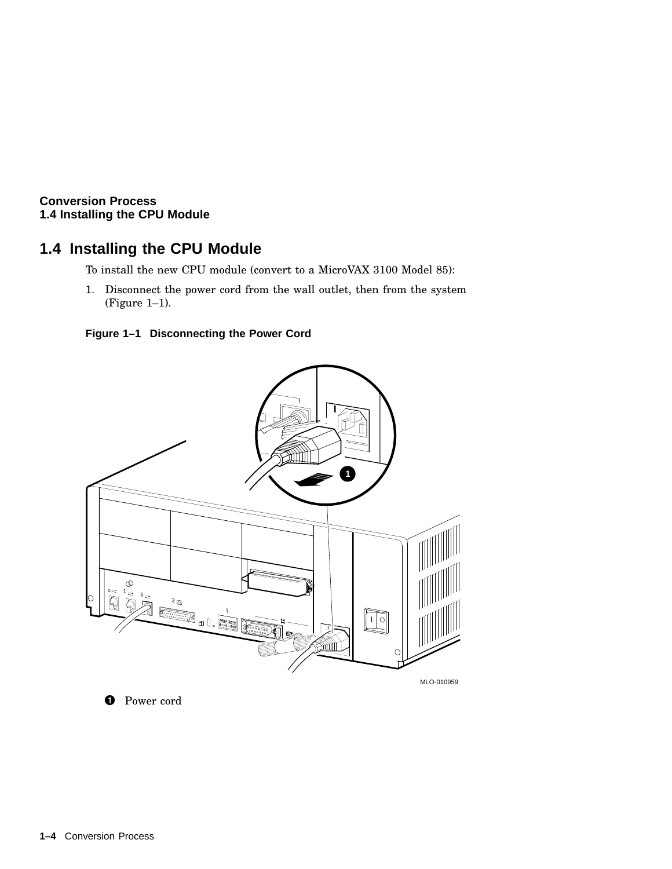# **1.4 Installing the CPU Module**

To install the new CPU module (convert to a MicroVAX 3100 Model 85):

1. Disconnect the power cord from the wall outlet, then from the system (Figure 1–1).





**O** Power cord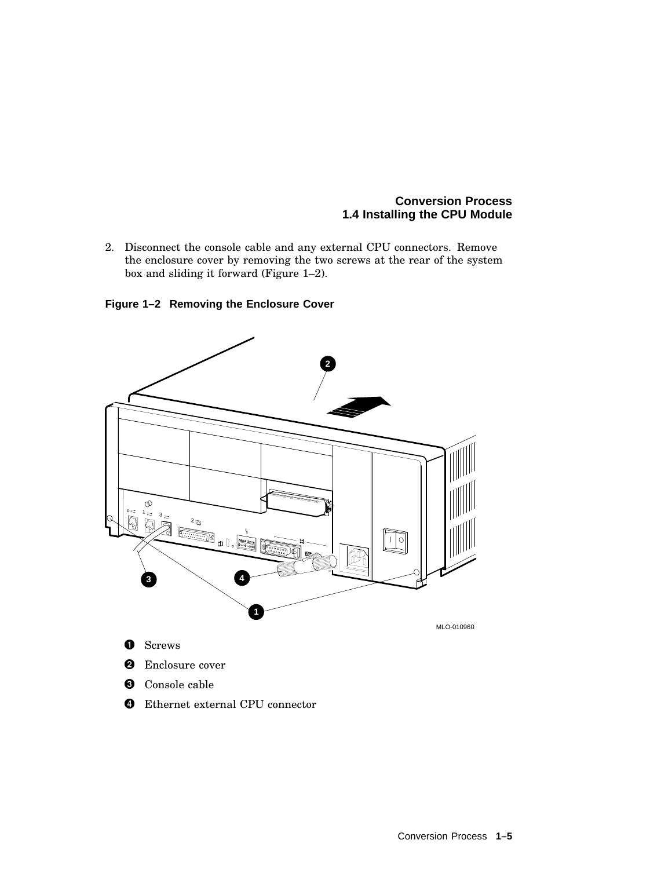2. Disconnect the console cable and any external CPU connectors. Remove the enclosure cover by removing the two screws at the rear of the system box and sliding it forward (Figure 1–2).

**Figure 1–2 Removing the Enclosure Cover**



- Ethernet external CPU connector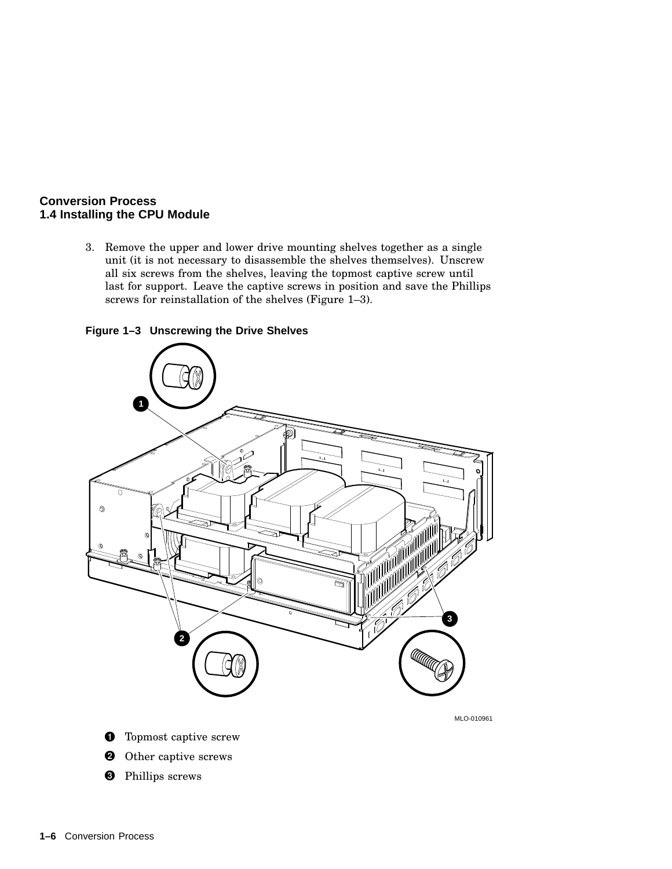3. Remove the upper and lower drive mounting shelves together as a single unit (it is not necessary to disassemble the shelves themselves). Unscrew all six screws from the shelves, leaving the topmost captive screw until last for support. Leave the captive screws in position and save the Phillips screws for reinstallation of the shelves (Figure 1–3).

**Figure 1–3 Unscrewing the Drive Shelves**

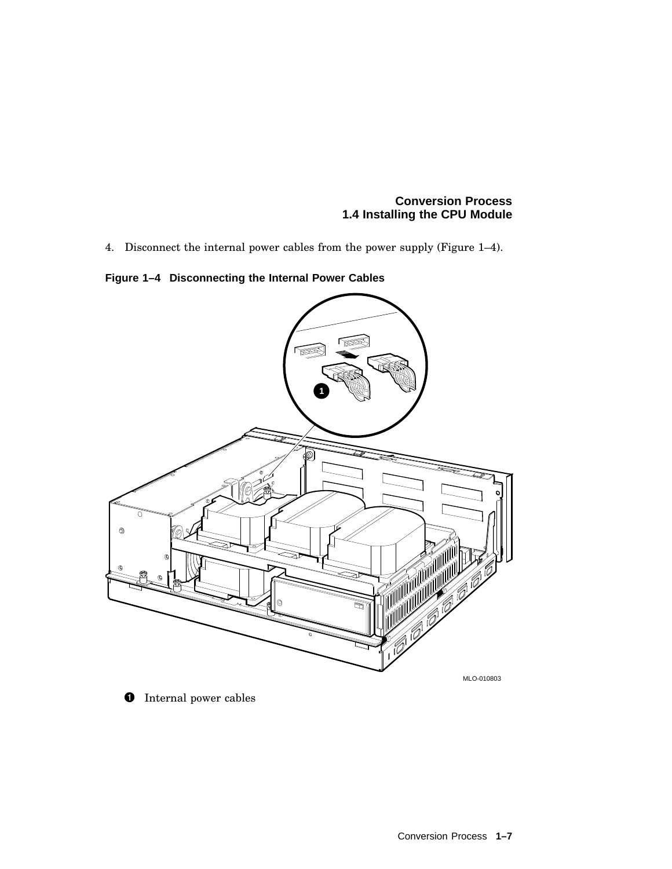4. Disconnect the internal power cables from the power supply (Figure 1–4).

**Figure 1–4 Disconnecting the Internal Power Cables**



**O** Internal power cables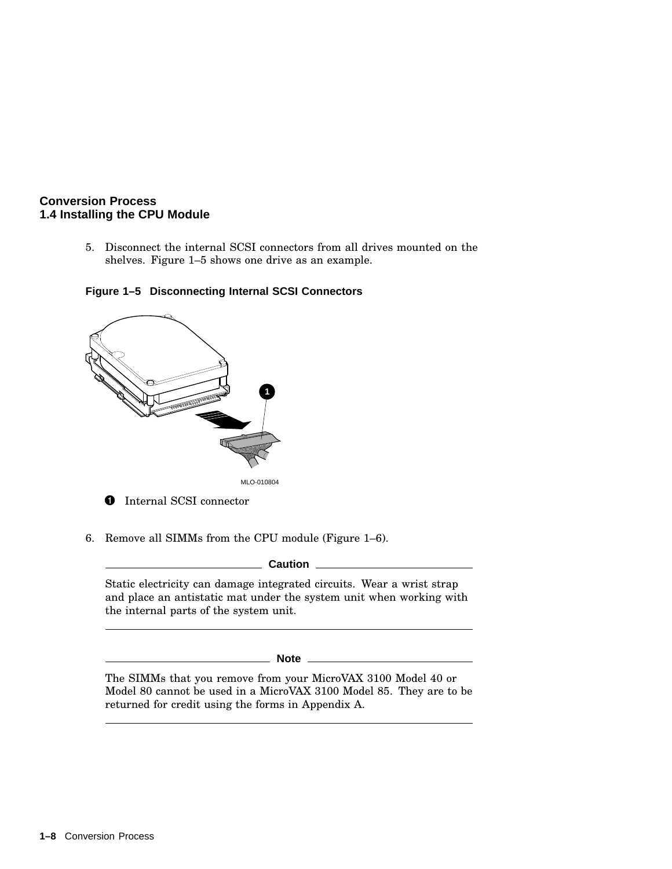5. Disconnect the internal SCSI connectors from all drives mounted on the shelves. Figure 1–5 shows one drive as an example.

#### **Figure 1–5 Disconnecting Internal SCSI Connectors**



6. Remove all SIMMs from the CPU module (Figure 1–6).

**Caution**

Static electricity can damage integrated circuits. Wear a wrist strap and place an antistatic mat under the system unit when working with the internal parts of the system unit.

**Note**

The SIMMs that you remove from your MicroVAX 3100 Model 40 or Model 80 cannot be used in a MicroVAX 3100 Model 85. They are to be returned for credit using the forms in Appendix A.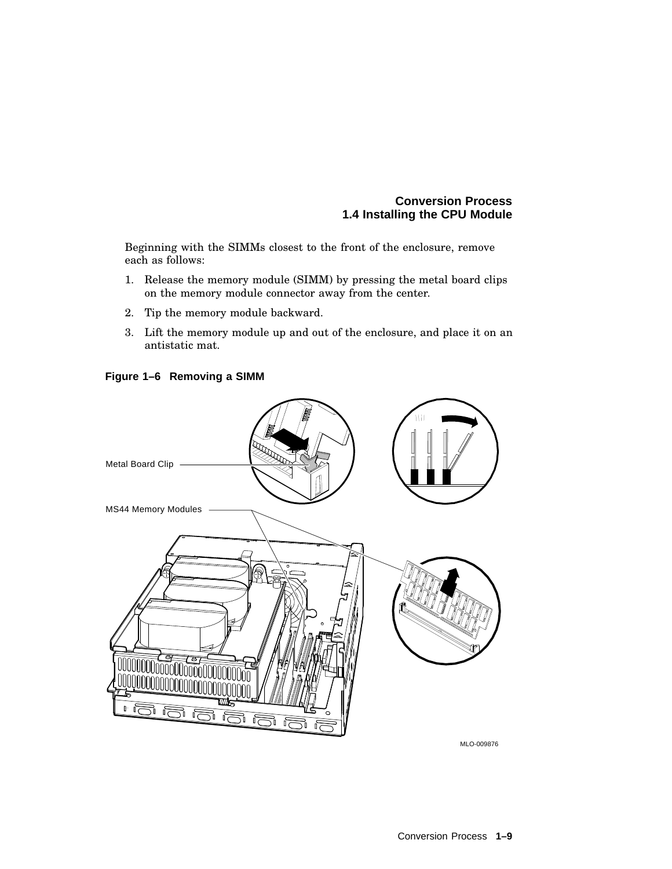Beginning with the SIMMs closest to the front of the enclosure, remove each as follows:

- 1. Release the memory module (SIMM) by pressing the metal board clips on the memory module connector away from the center.
- 2. Tip the memory module backward.
- 3. Lift the memory module up and out of the enclosure, and place it on an antistatic mat.



#### **Figure 1–6 Removing a SIMM**

MLO-009876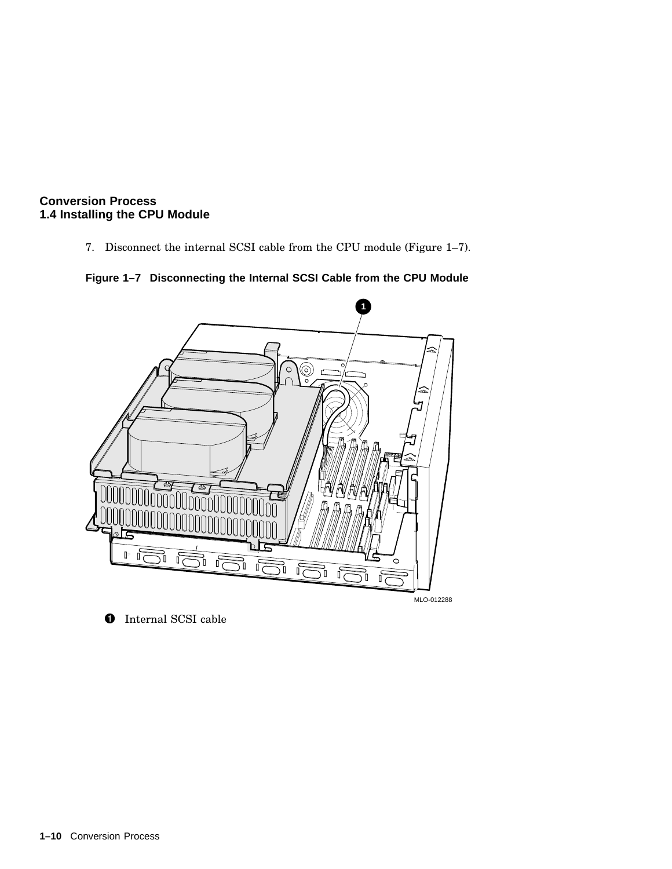7. Disconnect the internal SCSI cable from the CPU module (Figure 1–7).





**O** Internal SCSI cable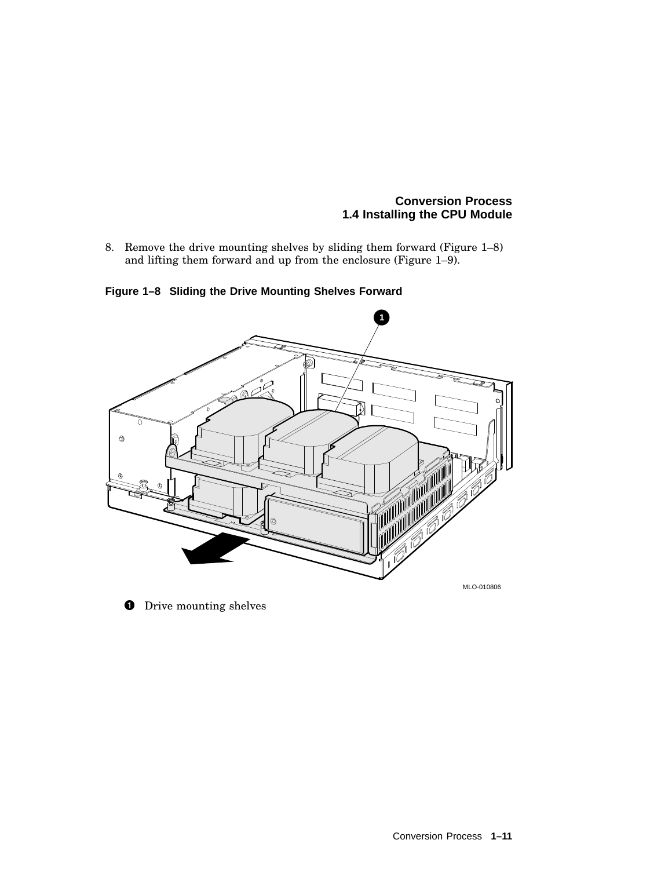8. Remove the drive mounting shelves by sliding them forward (Figure 1–8) and lifting them forward and up from the enclosure (Figure 1–9).



**Figure 1–8 Sliding the Drive Mounting Shelves Forward**

**O** Drive mounting shelves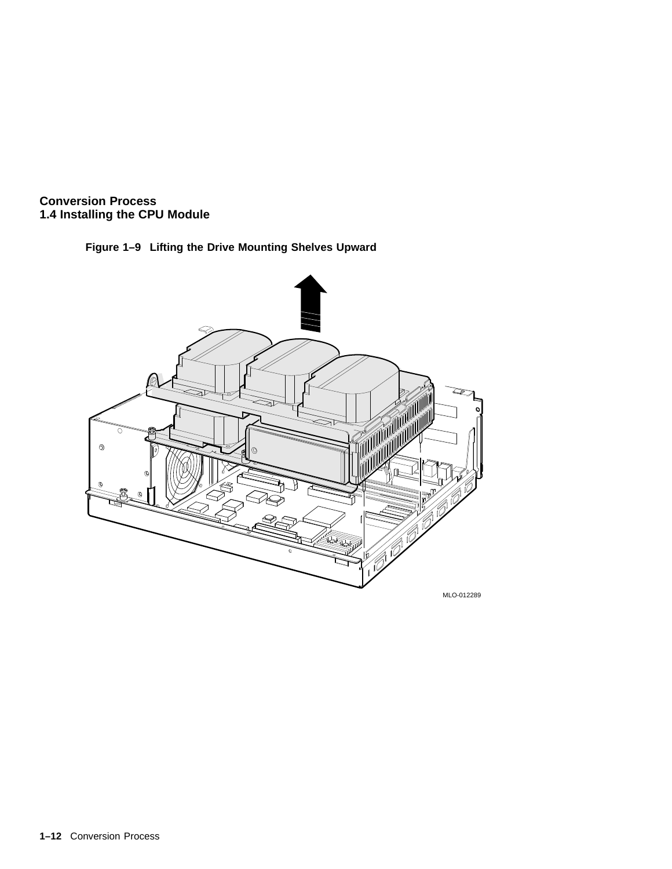



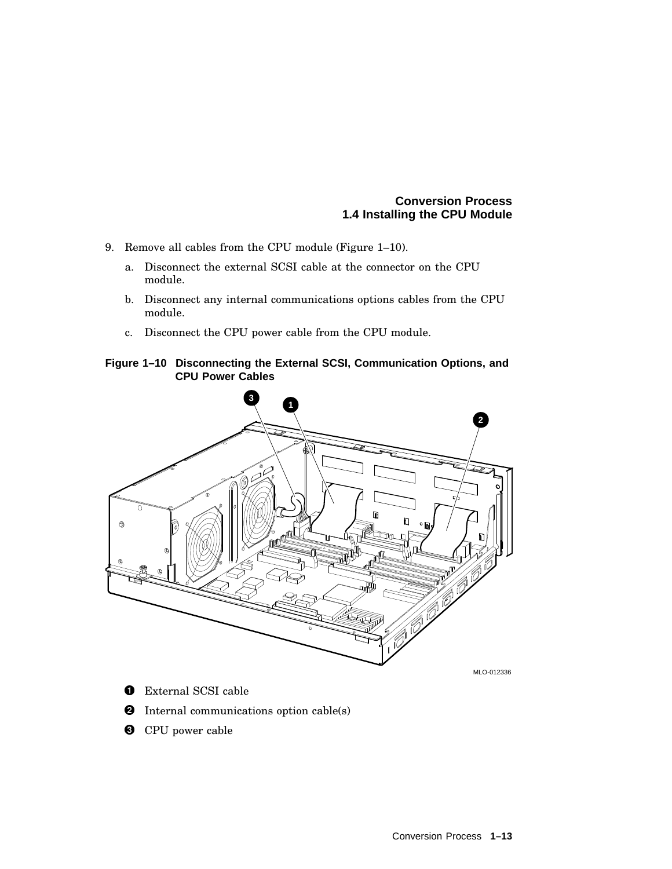- 9. Remove all cables from the CPU module (Figure 1–10).
	- a. Disconnect the external SCSI cable at the connector on the CPU module.
	- b. Disconnect any internal communications options cables from the CPU module.
	- c. Disconnect the CPU power cable from the CPU module.

#### **Figure 1–10 Disconnecting the External SCSI, Communication Options, and CPU Power Cables**



- **O** External SCSI cable
- **2** Internal communications option cable(s)
- **<sup>6</sup>** CPU power cable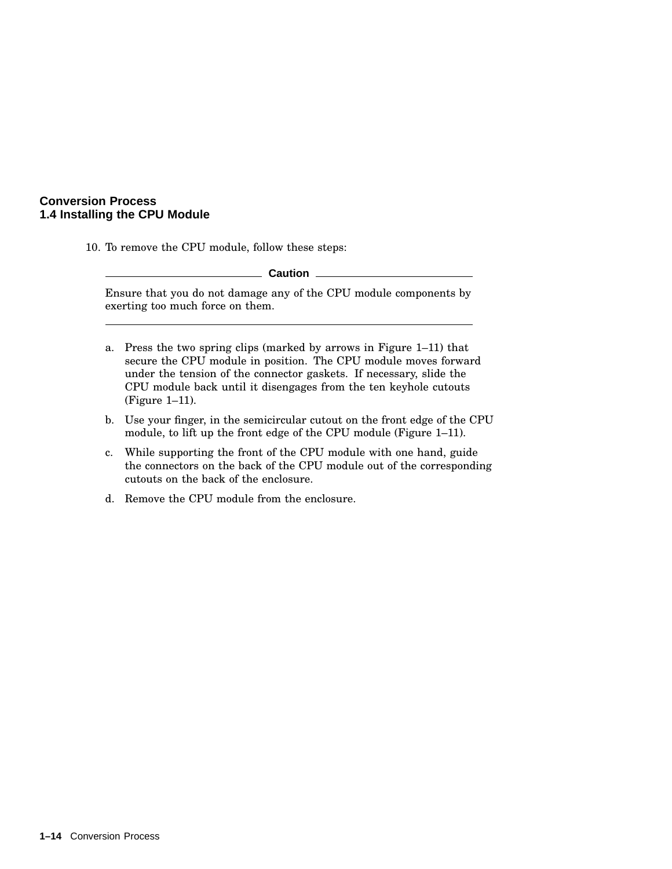10. To remove the CPU module, follow these steps:

|                                                                                                       | Caution                                                                                                                                                                                                                                                                                              |  |  |
|-------------------------------------------------------------------------------------------------------|------------------------------------------------------------------------------------------------------------------------------------------------------------------------------------------------------------------------------------------------------------------------------------------------------|--|--|
| Ensure that you do not damage any of the CPU module components by<br>exerting too much force on them. |                                                                                                                                                                                                                                                                                                      |  |  |
| a.                                                                                                    | Press the two spring clips (marked by arrows in Figure 1–11) that<br>secure the CPU module in position. The CPU module moves forward<br>under the tension of the connector gaskets. If necessary, slide the<br>CPU module back until it disengages from the ten keyhole cutouts<br>$(Figure 1-11)$ . |  |  |

- b. Use your finger, in the semicircular cutout on the front edge of the CPU module, to lift up the front edge of the CPU module (Figure 1–11).
- c. While supporting the front of the CPU module with one hand, guide the connectors on the back of the CPU module out of the corresponding cutouts on the back of the enclosure.
- d. Remove the CPU module from the enclosure.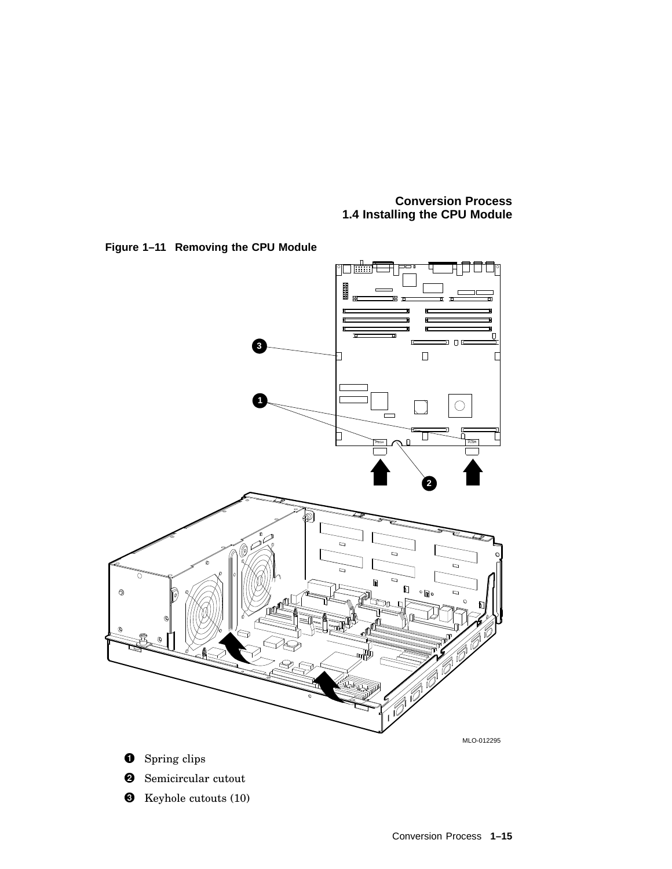



**8** Keyhole cutouts (10)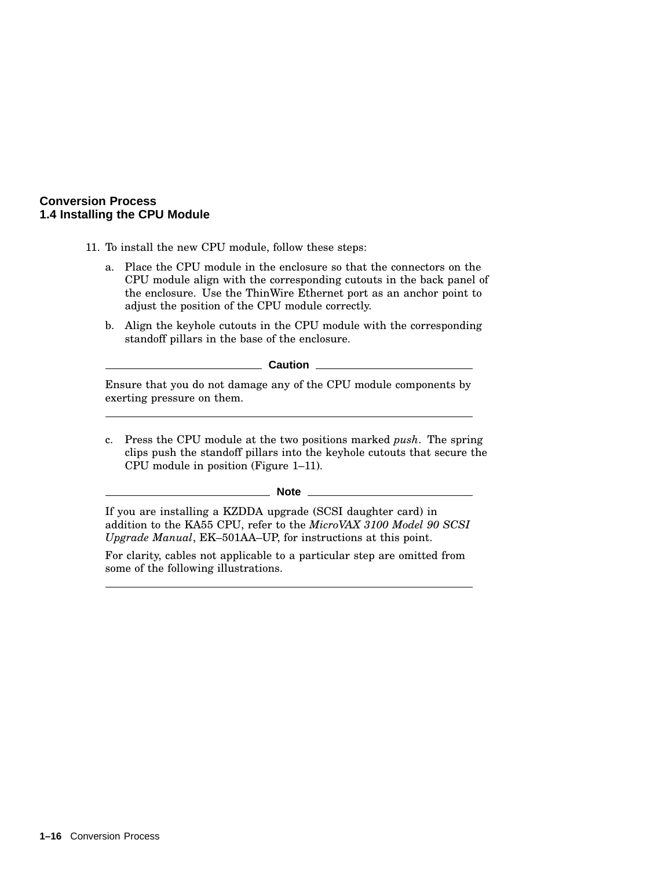- 11. To install the new CPU module, follow these steps:
	- a. Place the CPU module in the enclosure so that the connectors on the CPU module align with the corresponding cutouts in the back panel of the enclosure. Use the ThinWire Ethernet port as an anchor point to adjust the position of the CPU module correctly.
	- b. Align the keyhole cutouts in the CPU module with the corresponding standoff pillars in the base of the enclosure.

**Caution**

Ensure that you do not damage any of the CPU module components by exerting pressure on them.

c. Press the CPU module at the two positions marked *push*. The spring clips push the standoff pillars into the keyhole cutouts that secure the CPU module in position (Figure 1–11).

**Note**

If you are installing a KZDDA upgrade (SCSI daughter card) in addition to the KA55 CPU, refer to the *MicroVAX 3100 Model 90 SCSI Upgrade Manual*, EK–501AA–UP, for instructions at this point.

For clarity, cables not applicable to a particular step are omitted from some of the following illustrations.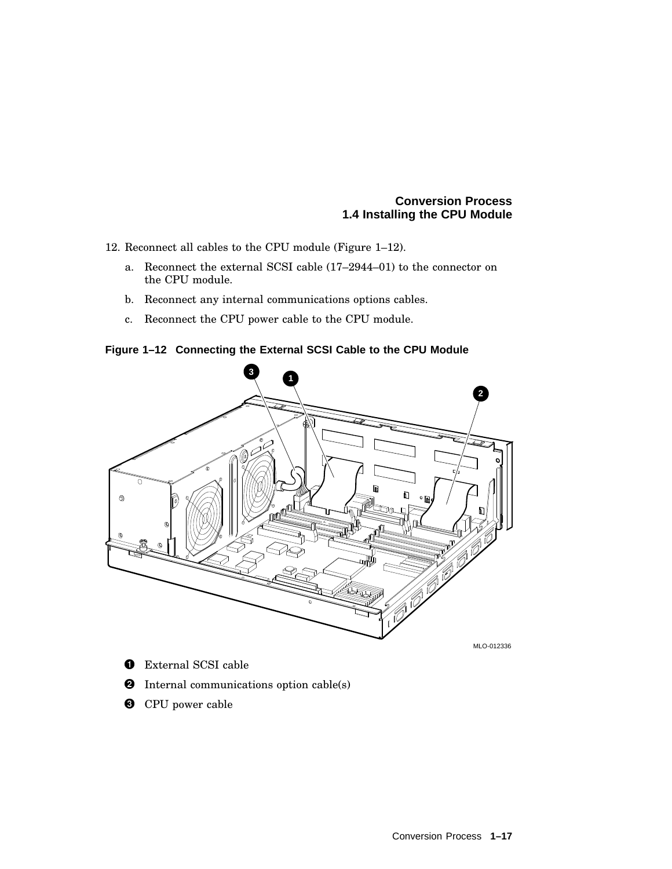- 12. Reconnect all cables to the CPU module (Figure 1–12).
	- a. Reconnect the external SCSI cable (17–2944–01) to the connector on the CPU module.
	- b. Reconnect any internal communications options cables.
	- c. Reconnect the CPU power cable to the CPU module.

**Figure 1–12 Connecting the External SCSI Cable to the CPU Module**



- **O** External SCSI cable
- **2** Internal communications option cable(s)
- **O** CPU power cable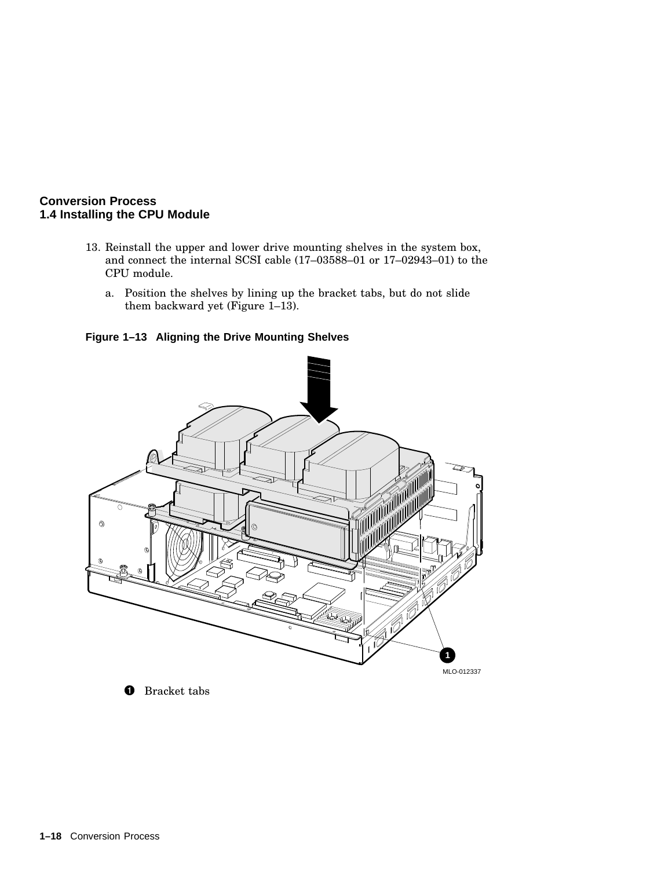- 13. Reinstall the upper and lower drive mounting shelves in the system box, and connect the internal SCSI cable (17–03588–01 or 17–02943–01) to the CPU module.
	- a. Position the shelves by lining up the bracket tabs, but do not slide them backward yet (Figure 1–13).

**Figure 1–13 Aligning the Drive Mounting Shelves**



**O** Bracket tabs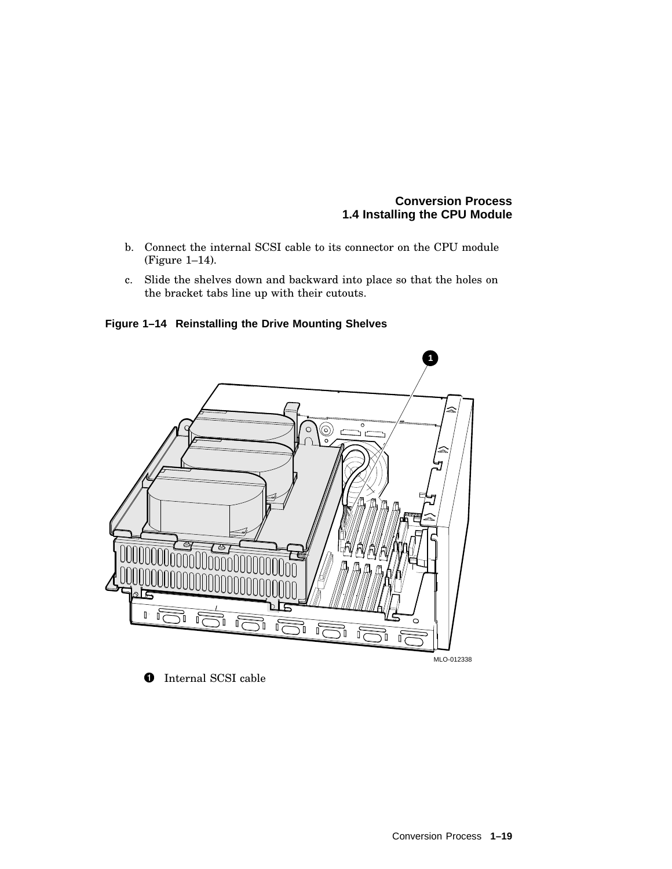- b. Connect the internal SCSI cable to its connector on the CPU module (Figure 1–14).
- c. Slide the shelves down and backward into place so that the holes on the bracket tabs line up with their cutouts.

**Figure 1–14 Reinstalling the Drive Mounting Shelves**



**O** Internal SCSI cable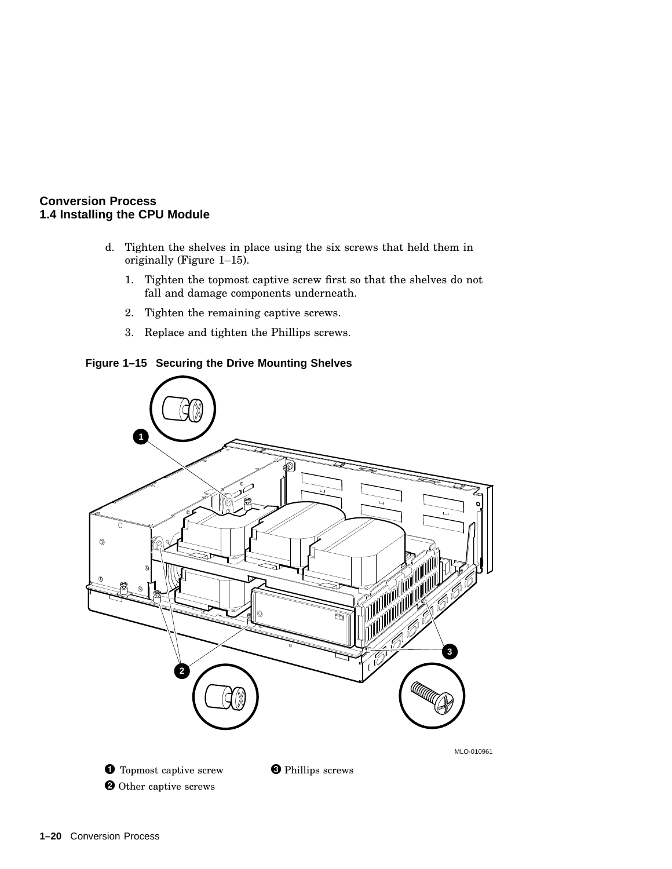- d. Tighten the shelves in place using the six screws that held them in originally (Figure 1–15).
	- 1. Tighten the topmost captive screw first so that the shelves do not fall and damage components underneath.
	- 2. Tighten the remaining captive screws.
	- 3. Replace and tighten the Phillips screws.

#### **Figure 1–15 Securing the Drive Mounting Shelves**

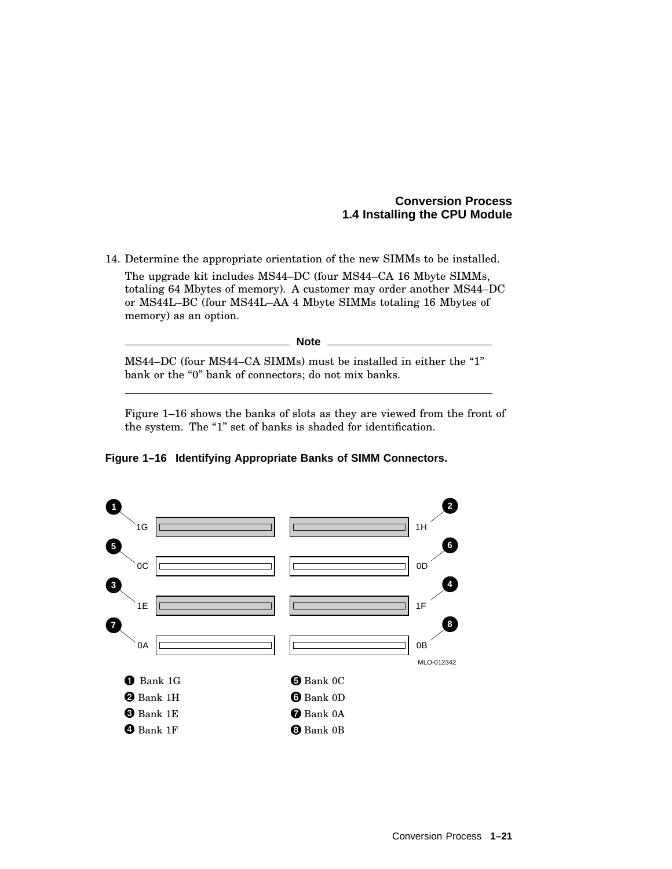14. Determine the appropriate orientation of the new SIMMs to be installed. The upgrade kit includes MS44–DC (four MS44–CA 16 Mbyte SIMMs, totaling 64 Mbytes of memory). A customer may order another MS44–DC or MS44L–BC (four MS44L–AA 4 Mbyte SIMMs totaling 16 Mbytes of memory) as an option.

MS44–DC (four MS44–CA SIMMs) must be installed in either the "1" bank or the "0" bank of connectors; do not mix banks.

**Note**

Figure 1–16 shows the banks of slots as they are viewed from the front of the system. The "1" set of banks is shaded for identification.

**Figure 1–16 Identifying Appropriate Banks of SIMM Connectors.**

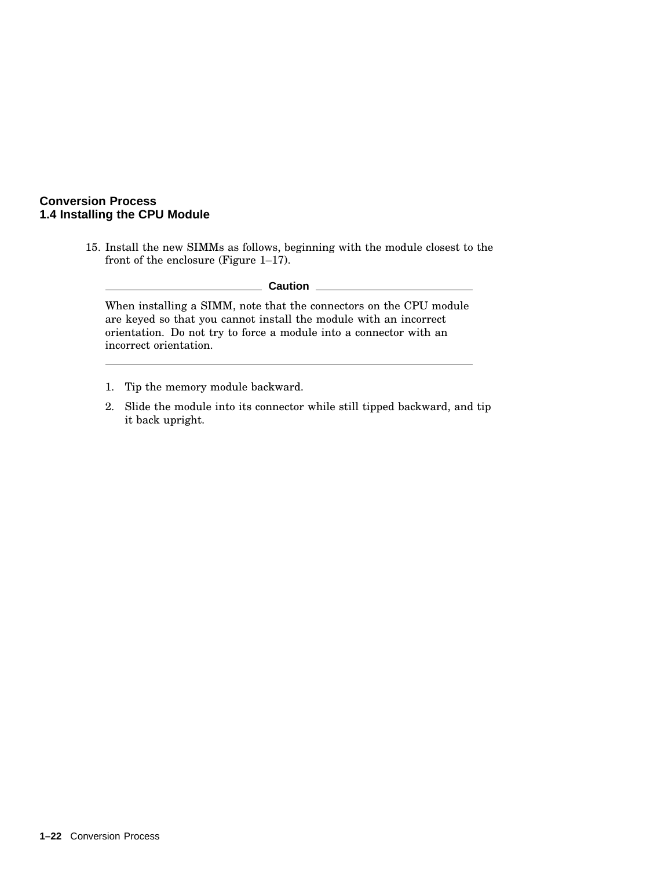15. Install the new SIMMs as follows, beginning with the module closest to the front of the enclosure (Figure 1–17).

#### **Caution**

When installing a SIMM, note that the connectors on the CPU module are keyed so that you cannot install the module with an incorrect orientation. Do not try to force a module into a connector with an incorrect orientation.

- 1. Tip the memory module backward.
- 2. Slide the module into its connector while still tipped backward, and tip it back upright.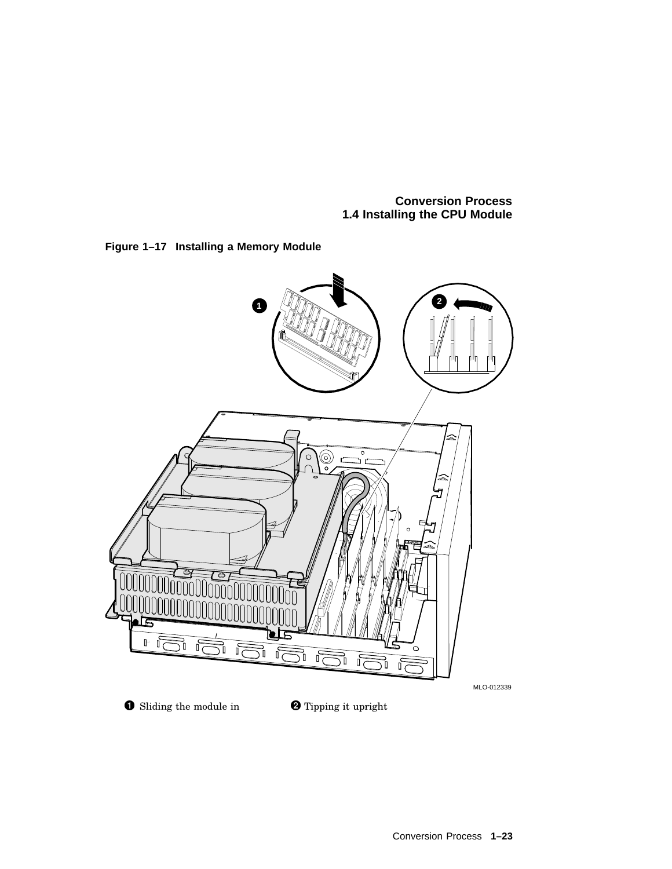

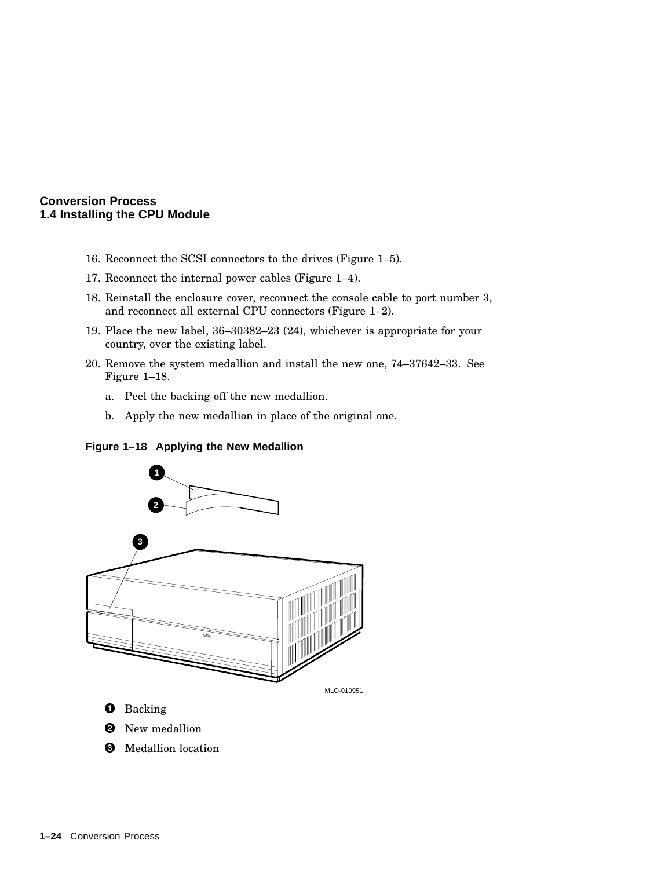- 16. Reconnect the SCSI connectors to the drives (Figure 1–5).
- 17. Reconnect the internal power cables (Figure 1–4).
- 18. Reinstall the enclosure cover, reconnect the console cable to port number 3, and reconnect all external CPU connectors (Figure 1–2).
- 19. Place the new label, 36–30382–23 (24), whichever is appropriate for your country, over the existing label.
- 20. Remove the system medallion and install the new one, 74–37642–33. See Figure 1–18.
	- a. Peel the backing off the new medallion.
	- b. Apply the new medallion in place of the original one.



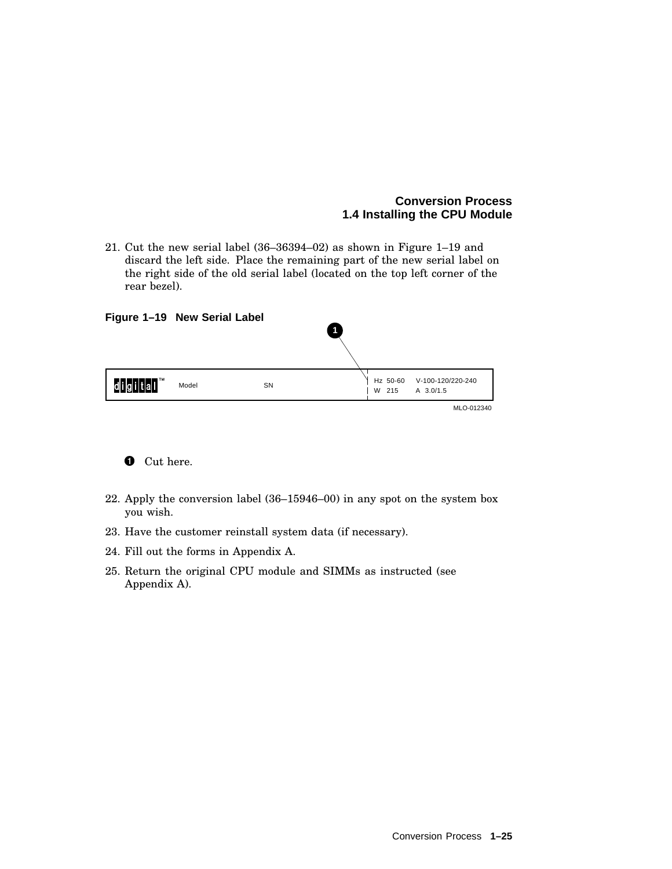21. Cut the new serial label (36–36394–02) as shown in Figure 1–19 and discard the left side. Place the remaining part of the new serial label on the right side of the old serial label (located on the top left corner of the rear bezel).

| Figure 1-19 New Serial Label |       |           | $\overline{1}$ |                   |                                |  |
|------------------------------|-------|-----------|----------------|-------------------|--------------------------------|--|
| TМ<br>ahah lah               | Model | <b>SN</b> |                | Hz 50-60<br>W 215 | V-100-120/220-240<br>A 3.0/1.5 |  |
|                              |       |           |                |                   | MLO-012340                     |  |



- 22. Apply the conversion label (36–15946–00) in any spot on the system box you wish.
- 23. Have the customer reinstall system data (if necessary).
- 24. Fill out the forms in Appendix A.
- 25. Return the original CPU module and SIMMs as instructed (see Appendix A).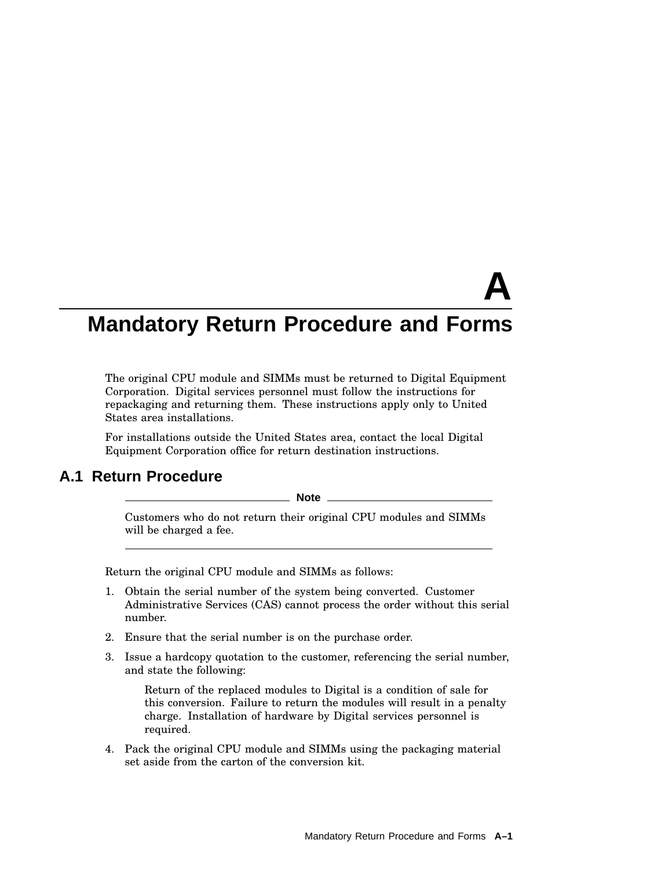# **A Mandatory Return Procedure and Forms**

The original CPU module and SIMMs must be returned to Digital Equipment Corporation. Digital services personnel must follow the instructions for repackaging and returning them. These instructions apply only to United States area installations.

For installations outside the United States area, contact the local Digital Equipment Corporation office for return destination instructions.

## **A.1 Return Procedure**

**Note**

Customers who do not return their original CPU modules and SIMMs will be charged a fee.

Return the original CPU module and SIMMs as follows:

- 1. Obtain the serial number of the system being converted. Customer Administrative Services (CAS) cannot process the order without this serial number.
- 2. Ensure that the serial number is on the purchase order.
- 3. Issue a hardcopy quotation to the customer, referencing the serial number, and state the following:

Return of the replaced modules to Digital is a condition of sale for this conversion. Failure to return the modules will result in a penalty charge. Installation of hardware by Digital services personnel is required.

4. Pack the original CPU module and SIMMs using the packaging material set aside from the carton of the conversion kit.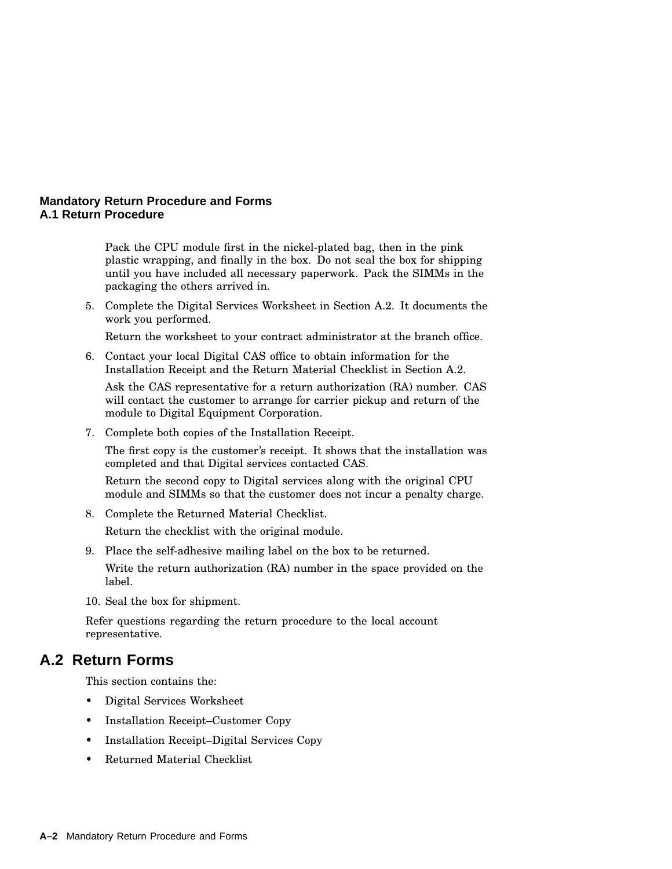#### **Mandatory Return Procedure and Forms A.1 Return Procedure**

Pack the CPU module first in the nickel-plated bag, then in the pink plastic wrapping, and finally in the box. Do not seal the box for shipping until you have included all necessary paperwork. Pack the SIMMs in the packaging the others arrived in.

5. Complete the Digital Services Worksheet in Section A.2. It documents the work you performed.

Return the worksheet to your contract administrator at the branch office.

6. Contact your local Digital CAS office to obtain information for the Installation Receipt and the Return Material Checklist in Section A.2.

Ask the CAS representative for a return authorization (RA) number. CAS will contact the customer to arrange for carrier pickup and return of the module to Digital Equipment Corporation.

7. Complete both copies of the Installation Receipt.

The first copy is the customer's receipt. It shows that the installation was completed and that Digital services contacted CAS.

Return the second copy to Digital services along with the original CPU module and SIMMs so that the customer does not incur a penalty charge.

- 8. Complete the Returned Material Checklist. Return the checklist with the original module.
- 9. Place the self-adhesive mailing label on the box to be returned. Write the return authorization (RA) number in the space provided on the label.
- 10. Seal the box for shipment.

Refer questions regarding the return procedure to the local account representative.

# **A.2 Return Forms**

This section contains the:

- Digital Services Worksheet
- Installation Receipt–Customer Copy
- Installation Receipt–Digital Services Copy
- Returned Material Checklist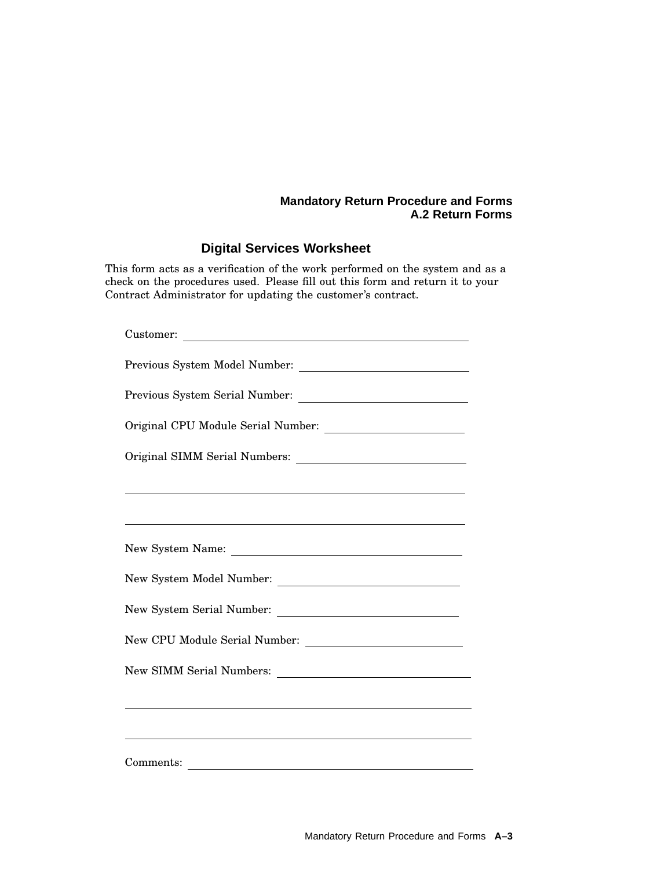## **Digital Services Worksheet**

This form acts as a verification of the work performed on the system and as a check on the procedures used. Please fill out this form and return it to your Contract Administrator for updating the customer's contract.

| Customer:                                                                                                                                       |  |  |  |  |
|-------------------------------------------------------------------------------------------------------------------------------------------------|--|--|--|--|
|                                                                                                                                                 |  |  |  |  |
|                                                                                                                                                 |  |  |  |  |
|                                                                                                                                                 |  |  |  |  |
|                                                                                                                                                 |  |  |  |  |
|                                                                                                                                                 |  |  |  |  |
|                                                                                                                                                 |  |  |  |  |
|                                                                                                                                                 |  |  |  |  |
|                                                                                                                                                 |  |  |  |  |
|                                                                                                                                                 |  |  |  |  |
|                                                                                                                                                 |  |  |  |  |
|                                                                                                                                                 |  |  |  |  |
| ,我们也不能在这里的时候,我们也不能在这里的时候,我们也不能会不能会不能会不能会不能会不能会不能会不能会不能会不能会。<br>第2012章 我们的时候,我们的时候,我们的时候,我们的时候,我们的时候,我们的时候,我们的时候,我们的时候,我们的时候,我们的时候,我们的时候,我们的时候,我 |  |  |  |  |
|                                                                                                                                                 |  |  |  |  |
| Comments:                                                                                                                                       |  |  |  |  |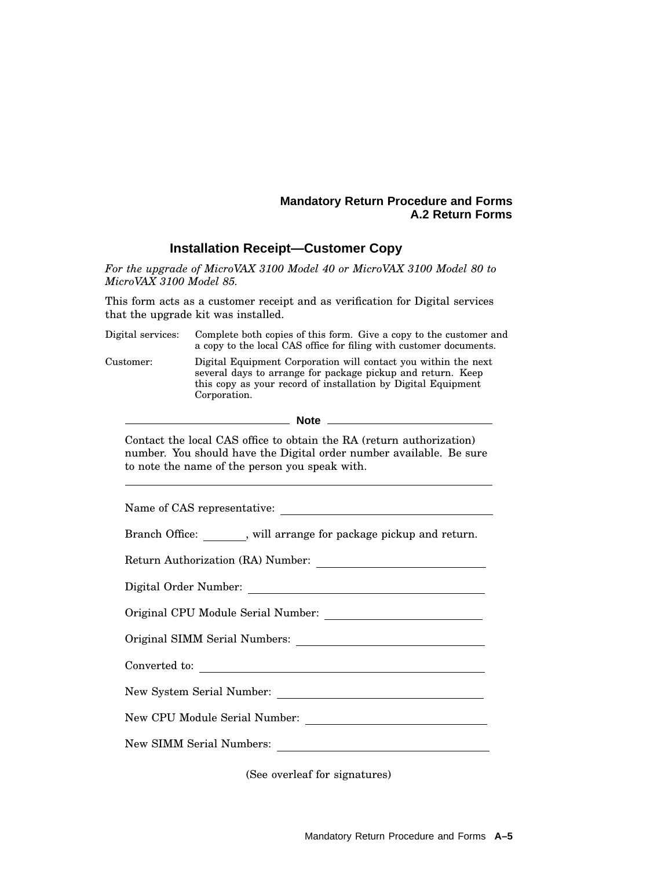#### **Installation Receipt—Customer Copy**

*For the upgrade of MicroVAX 3100 Model 40 or MicroVAX 3100 Model 80 to MicroVAX 3100 Model 85.*

This form acts as a customer receipt and as verification for Digital services that the upgrade kit was installed.

Digital services: Complete both copies of this form. Give a copy to the customer and a copy to the local CAS office for filing with customer documents. Customer: Digital Equipment Corporation will contact you within the next several days to arrange for package pickup and return. Keep this copy as your record of installation by Digital Equipment Corporation.

**Note**

Contact the local CAS office to obtain the RA (return authorization) number. You should have the Digital order number available. Be sure to note the name of the person you speak with.

(See overleaf for signatures)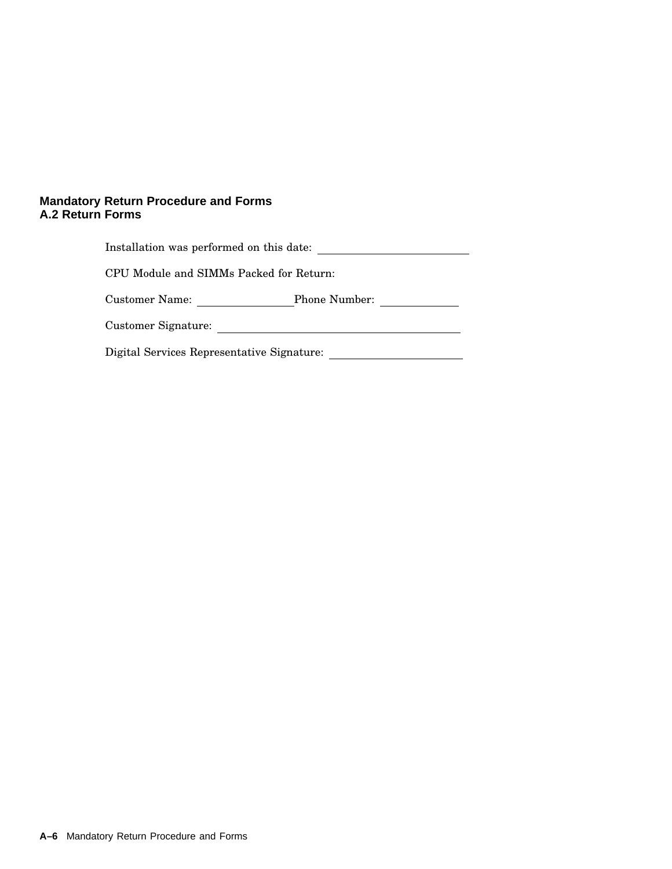| Installation was performed on this date:   |                      |  |  |
|--------------------------------------------|----------------------|--|--|
| CPU Module and SIMMs Packed for Return:    |                      |  |  |
| Customer Name:                             | <b>Phone Number:</b> |  |  |
| Customer Signature:                        |                      |  |  |
| Digital Services Representative Signature: |                      |  |  |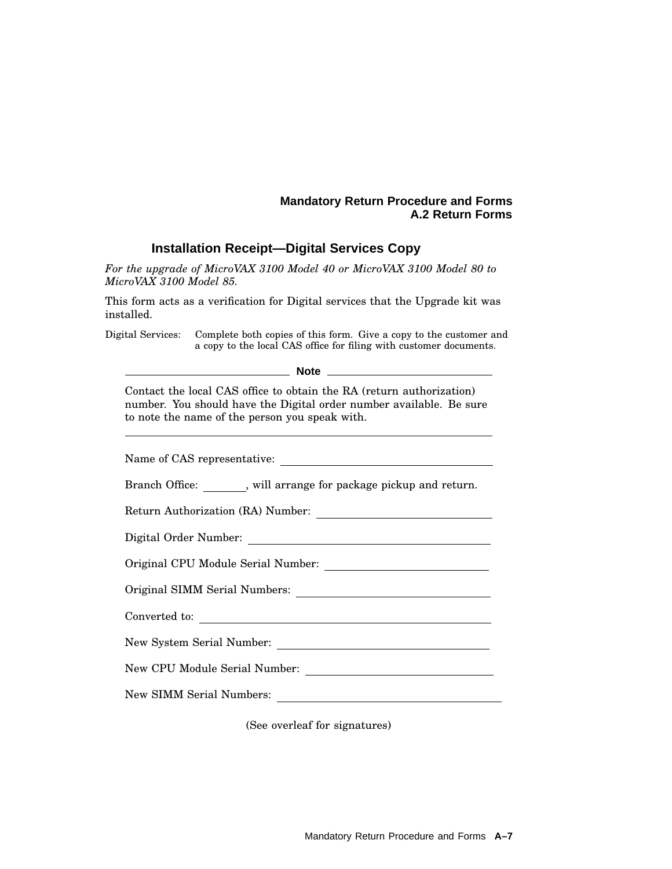#### **Installation Receipt—Digital Services Copy**

*For the upgrade of MicroVAX 3100 Model 40 or MicroVAX 3100 Model 80 to MicroVAX 3100 Model 85.*

This form acts as a verification for Digital services that the Upgrade kit was installed.

Digital Services: Complete both copies of this form. Give a copy to the customer and a copy to the local CAS office for filing with customer documents.

**Note**

Contact the local CAS office to obtain the RA (return authorization) number. You should have the Digital order number available. Be sure to note the name of the person you speak with.

Name of CAS representative:

Branch Office: , will arrange for package pickup and return.

Return Authorization (RA) Number:

Digital Order Number:

Original CPU Module Serial Number:

Original SIMM Serial Numbers:

Converted to:

New System Serial Number:

New CPU Module Serial Number:

New SIMM Serial Numbers:

(See overleaf for signatures)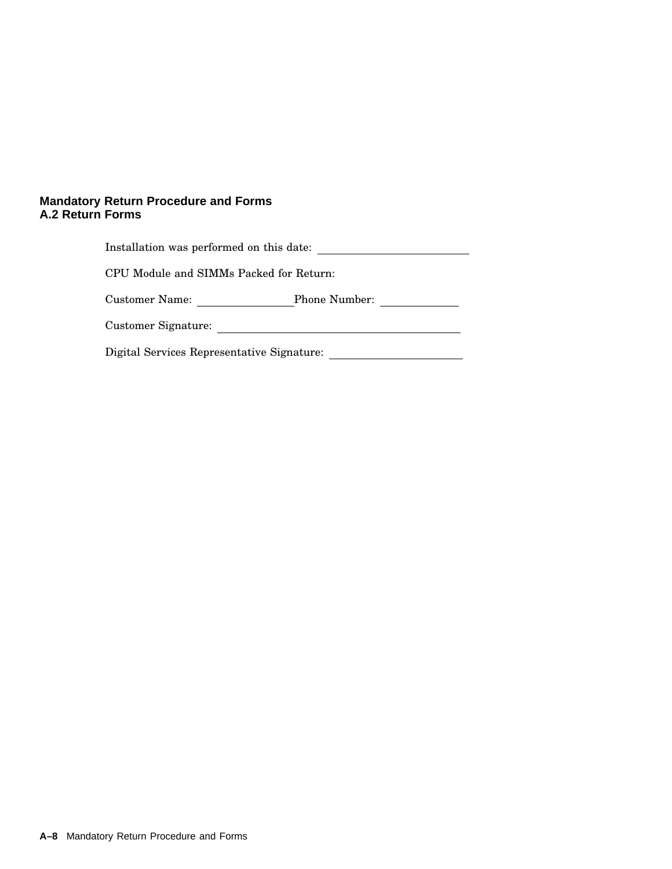| Installation was performed on this date:   |                      |  |  |
|--------------------------------------------|----------------------|--|--|
| CPU Module and SIMMs Packed for Return:    |                      |  |  |
| Customer Name:                             | <b>Phone Number:</b> |  |  |
| Customer Signature:                        |                      |  |  |
| Digital Services Representative Signature: |                      |  |  |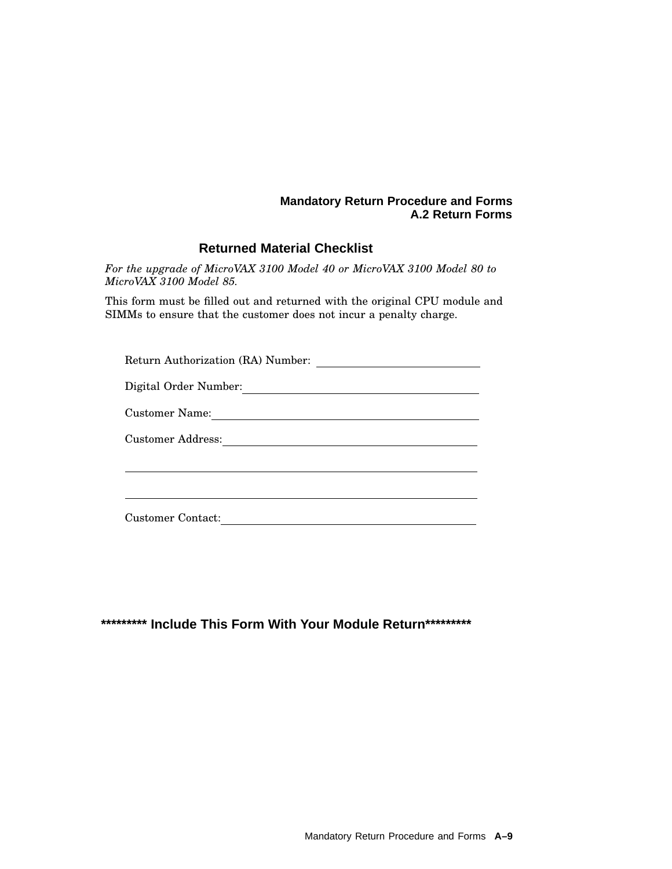### **Returned Material Checklist**

*For the upgrade of MicroVAX 3100 Model 40 or MicroVAX 3100 Model 80 to MicroVAX 3100 Model 85.*

This form must be filled out and returned with the original CPU module and SIMMs to ensure that the customer does not incur a penalty charge.

| Return Authorization (RA) Number: |
|-----------------------------------|
| Digital Order Number:             |
| Customer Name:                    |
| Customer Address:                 |
|                                   |
|                                   |
| <b>Customer Contact:</b>          |

**\*\*\*\*\*\*\*\*\* Include This Form With Your Module Return\*\*\*\*\*\*\*\*\***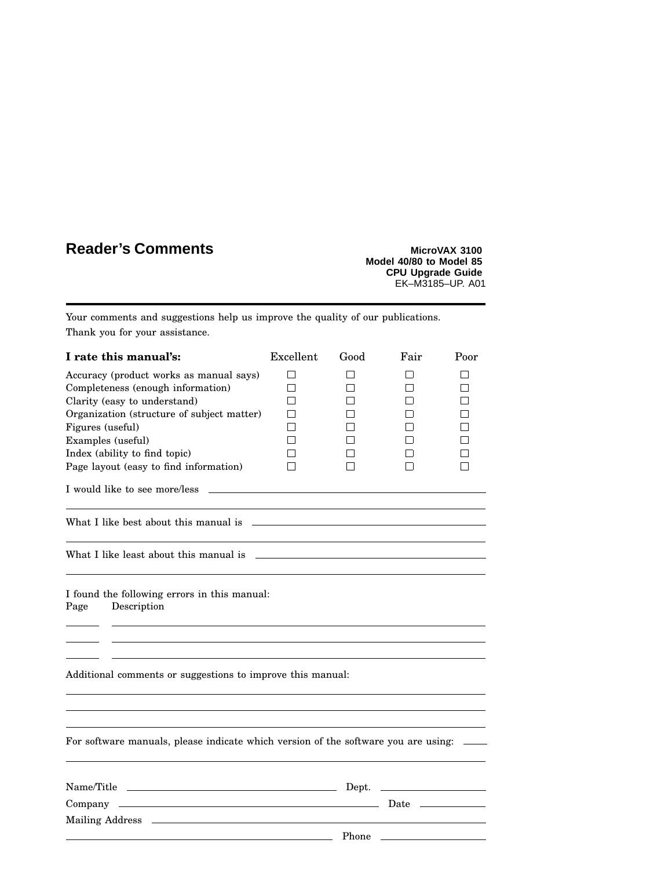# **Reader's Comments MicroVAX** 3100

**Model 40/80 to Model 85 CPU Upgrade Guide** EK–M3185–UP. A01

Your comments and suggestions help us improve the quality of our publications. Thank you for your assistance.

| I rate this manual's:                                                                                                                                                                                                          | Excellent | Good  | Fair                | Poor |
|--------------------------------------------------------------------------------------------------------------------------------------------------------------------------------------------------------------------------------|-----------|-------|---------------------|------|
| Accuracy (product works as manual says)                                                                                                                                                                                        | П         | l 1   | l 1                 | l 1  |
| Completeness (enough information)                                                                                                                                                                                              | П         |       | П                   | П    |
| Clarity (easy to understand)                                                                                                                                                                                                   |           |       | l 1                 |      |
| Organization (structure of subject matter)                                                                                                                                                                                     |           |       | l 1                 |      |
| Figures (useful)                                                                                                                                                                                                               |           |       | l 1<br>$\mathsf{I}$ | П    |
| Examples (useful)<br>Index (ability to find topic)                                                                                                                                                                             |           |       | П                   |      |
| Page layout (easy to find information)                                                                                                                                                                                         |           |       | П                   | П    |
|                                                                                                                                                                                                                                |           |       |                     |      |
| I would like to see more/less                                                                                                                                                                                                  |           |       |                     |      |
|                                                                                                                                                                                                                                |           |       |                     |      |
|                                                                                                                                                                                                                                |           |       |                     |      |
| What I like least about this manual is example to the state of the state of the state of the state of the state of the state of the state of the state of the state of the state of the state of the state of the state of the |           |       |                     |      |
| I found the following errors in this manual:<br>Description<br>Page                                                                                                                                                            |           |       |                     |      |
|                                                                                                                                                                                                                                |           |       |                     |      |
| Additional comments or suggestions to improve this manual:                                                                                                                                                                     |           |       |                     |      |
|                                                                                                                                                                                                                                |           |       |                     |      |
| For software manuals, please indicate which version of the software you are using:                                                                                                                                             |           |       |                     |      |
|                                                                                                                                                                                                                                |           |       |                     |      |
|                                                                                                                                                                                                                                |           |       |                     |      |
|                                                                                                                                                                                                                                |           |       |                     |      |
|                                                                                                                                                                                                                                |           |       |                     |      |
|                                                                                                                                                                                                                                |           | Phone |                     |      |